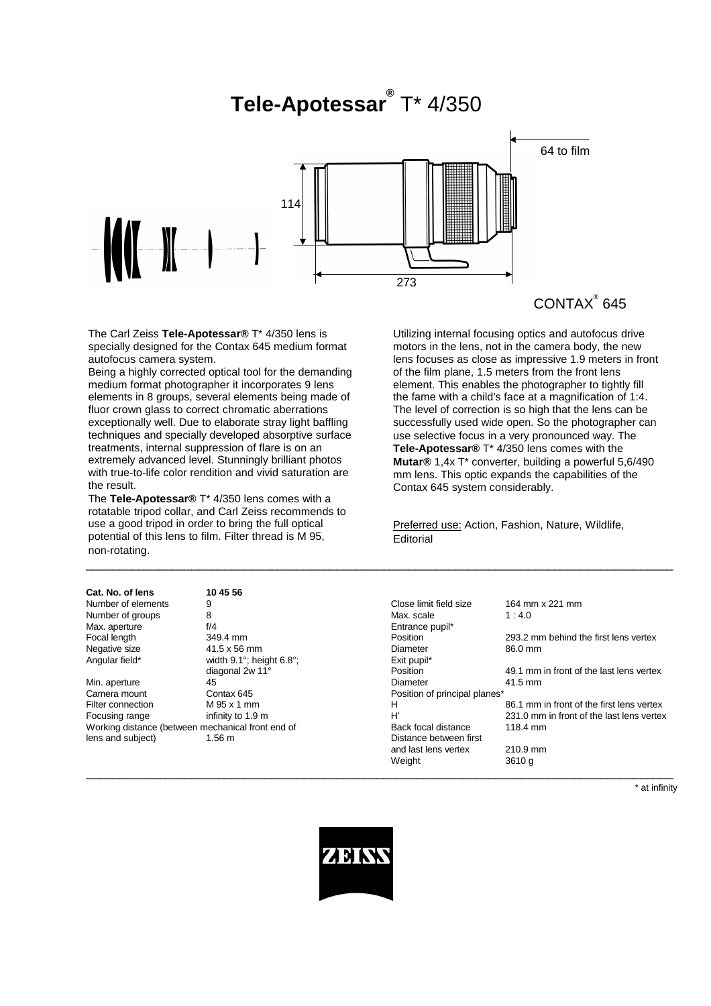# **Tele-Apotessar®** T\* 4/350



 $\mathsf{CONTAX}^\circ$  645

Utilizing internal focusing optics and autofocus drive motors in the lens, not in the camera body, the new lens focuses as close as impressive 1.9 meters in front of the film plane, 1.5 meters from the front lens element. This enables the photographer to tightly fill the fame with a child's face at a magnification of 1:4. The level of correction is so high that the lens can be successfully used wide open. So the photographer can use selective focus in a very pronounced way. The **Tele-Apotessar®** T\* 4/350 lens comes with the **Mutar®** 1,4x T\* converter, building a powerful 5,6/490 mm lens. This optic expands the capabilities of the

Contax 645 system considerably.

**Editorial** 

\_\_\_\_\_\_\_\_\_\_\_\_\_\_\_\_\_\_\_\_\_\_\_\_\_\_\_\_\_\_\_\_\_\_\_\_\_\_\_\_\_\_\_\_\_\_\_\_\_\_\_\_\_\_\_\_\_\_\_\_\_\_\_\_\_\_\_\_\_\_\_\_\_\_\_\_\_\_\_\_\_\_\_\_\_\_\_\_\_

 $\_$  , and the set of the set of the set of the set of the set of the set of the set of the set of the set of the set of the set of the set of the set of the set of the set of the set of the set of the set of the set of th

Preferred use: Action, Fashion, Nature, Wildlife,

The Carl Zeiss **Tele-Apotessar®** T\* 4/350 lens is specially designed for the Contax 645 medium format autofocus camera system.

Being a highly corrected optical tool for the demanding medium format photographer it incorporates 9 lens elements in 8 groups, several elements being made of fluor crown glass to correct chromatic aberrations exceptionally well. Due to elaborate stray light baffling techniques and specially developed absorptive surface treatments, internal suppression of flare is on an extremely advanced level. Stunningly brilliant photos with true-to-life color rendition and vivid saturation are the result.

The **Tele-Apotessar®** T\* 4/350 lens comes with a rotatable tripod collar, and Carl Zeiss recommends to use a good tripod in order to bring the full optical potential of this lens to film. Filter thread is M 95, non-rotating.

| Cat. No. of lens                                  | 10 45 56                                 |                               |                                           |
|---------------------------------------------------|------------------------------------------|-------------------------------|-------------------------------------------|
| Number of elements                                | 9                                        | Close limit field size        | 164 mm x 221 mm                           |
| Number of groups                                  | 8                                        | Max. scale                    | 1:4.0                                     |
| Max. aperture                                     | f/4                                      | Entrance pupil*               |                                           |
| Focal length                                      | 349.4 mm                                 | Position                      | 293.2 mm behind the first lens vertex     |
| Negative size                                     | 41.5 x 56 mm                             | Diameter                      | 86.0 mm                                   |
| Angular field*                                    | width $9.1^\circ$ ; height $6.8^\circ$ ; | Exit pupil*                   |                                           |
|                                                   | diagonal 2w 11°                          | Position                      | 49.1 mm in front of the last lens vertex  |
| Min. aperture                                     | 45                                       | Diameter                      | 41.5 mm                                   |
| Camera mount                                      | Contax 645                               | Position of principal planes* |                                           |
| Filter connection                                 | M 95 x 1 mm                              | н                             | 86.1 mm in front of the first lens vertex |
| Focusing range                                    | infinity to 1.9 m                        | H'                            | 231.0 mm in front of the last lens vertex |
| Working distance (between mechanical front end of |                                          | Back focal distance           | 118.4 mm                                  |
| lens and subject)                                 | 1.56 <sub>m</sub>                        | Distance between first        |                                           |
|                                                   |                                          | and last lens vertex          | 210.9 mm                                  |
|                                                   |                                          | Weight                        | 3610a                                     |

\* at infinity